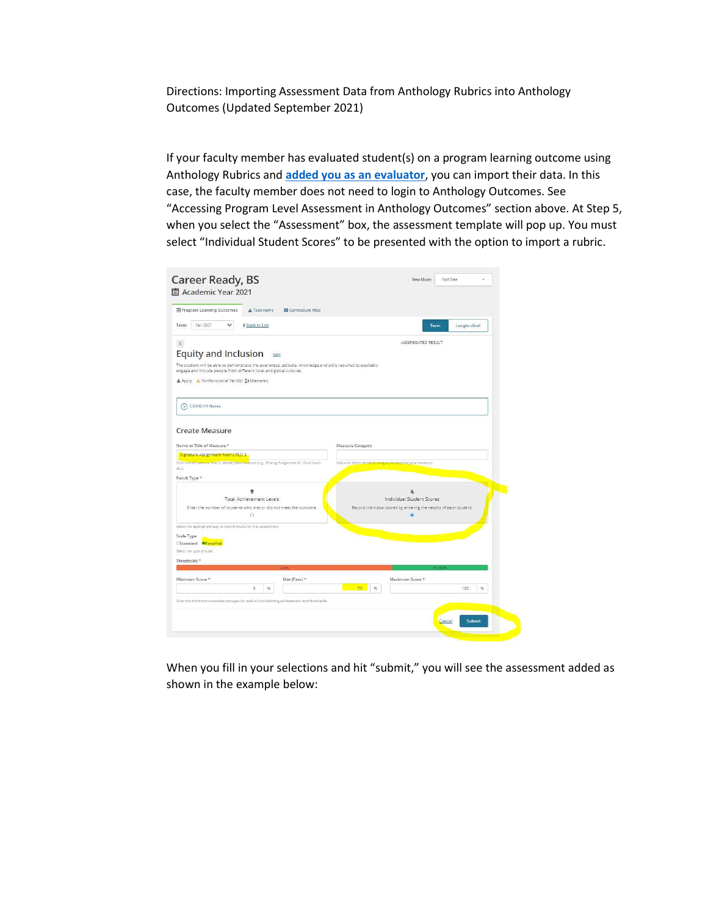Directions: Importing Assessment Data from Anthology Rubrics into Anthology Outcomes (Updated September 2021)

If your faculty member has evaluated student(s) on a program learning outcome using Anthology Rubrics and **added you as an evaluator**, you can import their data. In this case, the faculty member does not need to login to Anthology Outcomes. See "Accessing Program Level Assessment in Anthology Outcomes" section above. At Step 5, when you select the "Assessment" box, the assessment template will pop up. You must select "Individual Student Scores" to be presented with the option to import a rubric.

| Term<br>Longitudinal<br>AGGREGATED RESULT                                                                   |
|-------------------------------------------------------------------------------------------------------------|
|                                                                                                             |
|                                                                                                             |
|                                                                                                             |
| The student will be able to demonstrate the awareness, attitude, knowledge and skills required to equitably |
|                                                                                                             |
|                                                                                                             |
|                                                                                                             |
|                                                                                                             |
| Optional: Select the best category to describe your measure.                                                |
| 款<br>Individual Student Scores                                                                              |
| Record individual scores by entering the results of each student.                                           |
|                                                                                                             |
|                                                                                                             |
|                                                                                                             |
| Maximum Score *                                                                                             |
| $\%$<br>100<br>56                                                                                           |
|                                                                                                             |
|                                                                                                             |

When you fill in your selections and hit "submit," you will see the assessment added as shown in the example below: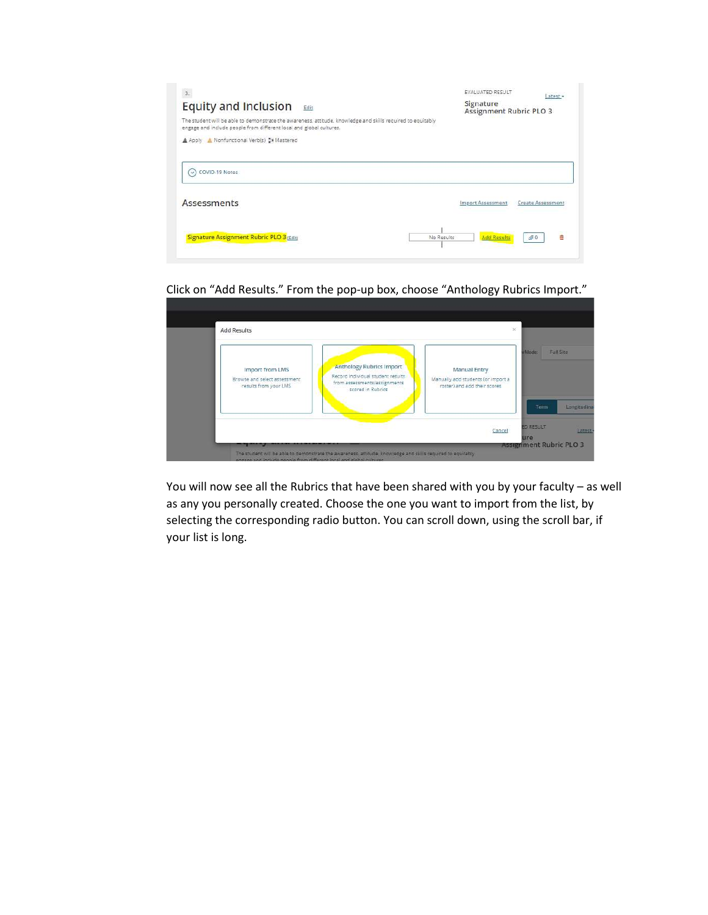| 3.<br><b>Equity and Inclusion</b><br>Edit<br>The student will be able to demonstrate the awareness, attitude, knowledge and skills required to equitably<br>engage and include people from different local and global cultures.<br>A Apply A Nonfunctional Verb(s) Sw Mastered | <b>EVALUATED RESULT</b><br>Signature<br>Assignment Rubric PLO 3 |                      |
|--------------------------------------------------------------------------------------------------------------------------------------------------------------------------------------------------------------------------------------------------------------------------------|-----------------------------------------------------------------|----------------------|
| COVID-19 Notes<br>$\sim$                                                                                                                                                                                                                                                       |                                                                 |                      |
| <b>Assessments</b>                                                                                                                                                                                                                                                             | Import Assessment                                               | Create Assessment    |
| Signature Assignment Rubric PLO 3 (Edit)<br>No Results                                                                                                                                                                                                                         | <b>Add Results</b>                                              | 市<br>$\mathcal{D}^0$ |

Click on "Add Results." From the pop-up box, choose "Anthology Rubrics Import."

|                                                                                 |                                                                                                                           |                                                                                           | v Mode:<br><b>Full Site</b> |
|---------------------------------------------------------------------------------|---------------------------------------------------------------------------------------------------------------------------|-------------------------------------------------------------------------------------------|-----------------------------|
| <b>Import from LMS</b><br>Browse and select assessment<br>results from your LMS | <b>Anthology Rubrics Import</b><br>Record individual student results<br>from assessments/assignments<br>scored in Rubrics | <b>Manual Entry</b><br>Manually add students (or import a<br>roster) and add their scores |                             |
|                                                                                 |                                                                                                                           |                                                                                           | Longitudina<br>Term         |

You will now see all the Rubrics that have been shared with you by your faculty – as well as any you personally created. Choose the one you want to import from the list, by selecting the corresponding radio button. You can scroll down, using the scroll bar, if your list is long.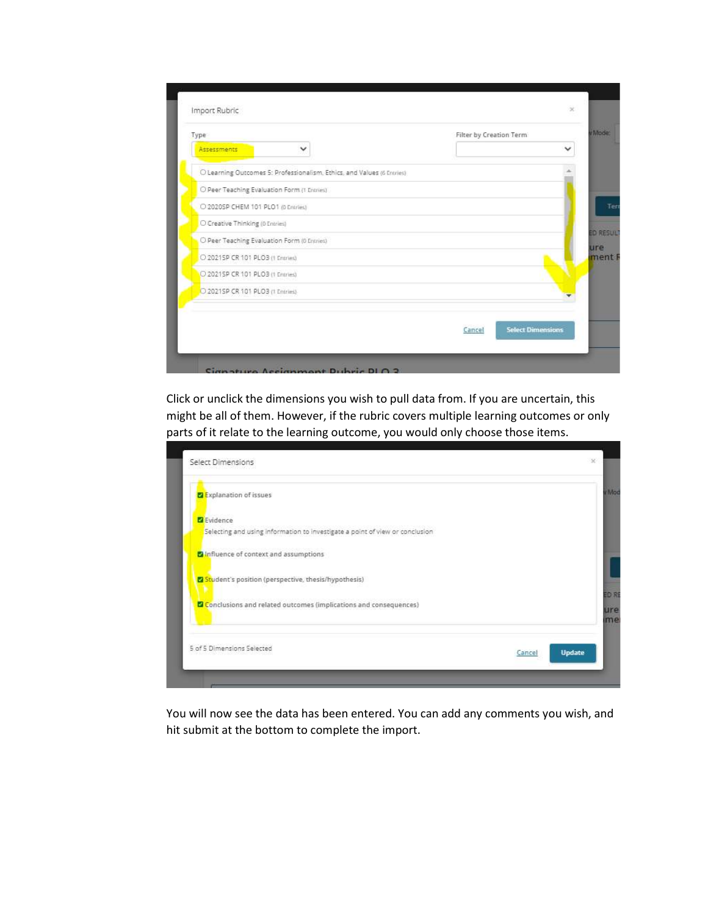| Type                                                                   | Filter by Creation Term            |
|------------------------------------------------------------------------|------------------------------------|
| Assessments<br>$\checkmark$                                            | $\checkmark$                       |
| O Learning Outcomes 5: Professionalism, Ethics, and Values (6 Entries) |                                    |
| O Peer Teaching Evaluation Form (1 Entries)                            |                                    |
| C 2020SP CHEM 101 PLO1 (0 Entries)                                     |                                    |
| O Creative Thinking (0 Entries)                                        |                                    |
| O Peer Teaching Evaluation Form (0 Entries)                            |                                    |
| O 2021SP CR 101 PLO3 (1 Entries)                                       |                                    |
| O 2021SP CR 101 PLO3 (1 Entries)                                       |                                    |
| O 2021SP CR 101 PLO3 (1 Entries)                                       |                                    |
|                                                                        |                                    |
|                                                                        | <b>Select Dimensions</b><br>Cancel |

Click or unclick the dimensions you wish to pull data from. If you are uncertain, this might be all of them. However, if the rubric covers multiple learning outcomes or only parts of it relate to the learning outcome, you would only choose those items.

| <b>Z</b> Explanation of issues                                               |               |
|------------------------------------------------------------------------------|---------------|
| Evidence                                                                     |               |
| Selecting and using information to investigate a point of view or conclusion |               |
| nfluence of context and assumptions                                          |               |
| V Student's position (perspective, thesis/hypothesis)                        |               |
| Conclusions and related outcomes (implications and consequences)             |               |
| 5 of 5 Dimensions Selected                                                   | <b>Update</b> |

You will now see the data has been entered. You can add any comments you wish, and hit submit at the bottom to complete the import.